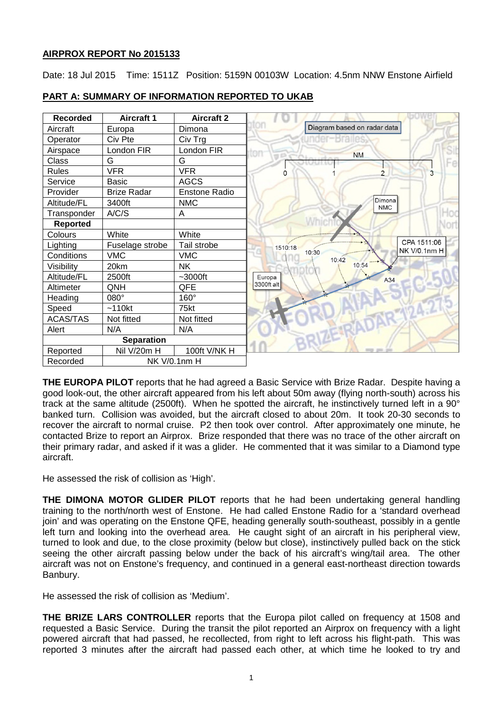## **AIRPROX REPORT No 2015133**

Date: 18 Jul 2015 Time: 1511Z Position: 5159N 00103W Location: 4.5nm NNW Enstone Airfield

| <b>Recorded</b>          | <b>Aircraft 1</b>  | <b>Aircraft 2</b>    |                             |
|--------------------------|--------------------|----------------------|-----------------------------|
| Aircraft                 | Europa             | Dimona               | Diagram based on radar data |
| Operator                 | Civ Pte            | Civ Trg              |                             |
| Airspace                 | London FIR         | London FIR           | <b>NM</b>                   |
| Class                    | G                  | G                    |                             |
| <b>Rules</b>             | <b>VFR</b>         | <b>VFR</b>           | O                           |
| Service                  | <b>Basic</b>       | <b>AGCS</b>          |                             |
| Provider                 | <b>Brize Radar</b> | <b>Enstone Radio</b> |                             |
| Altitude/FL              | 3400ft             | <b>NMC</b>           | Dimona<br><b>NMC</b>        |
| Transponder              | A/C/S              | A                    |                             |
| <b>Reported</b>          |                    |                      |                             |
| Colours                  | White              | White                |                             |
| Lighting                 | Fuselage strobe    | Tail strobe          | 1510:18                     |
| Conditions               | <b>VMC</b>         | <b>VMC</b>           | 10:30<br>10:42              |
| Visibility               | 20km               | <b>NK</b>            | 10:54                       |
| Altitude/FL              | 2500ft             | $~1$ -3000ft         | Europa<br>A34               |
| Altimeter                | QNH                | QFE                  | 3300ft alt                  |
| Heading                  | 080°               | 160°                 |                             |
| Speed                    | ~110kt             | 75kt                 |                             |
| <b>ACAS/TAS</b>          | Not fitted         | Not fitted           |                             |
| Alert                    | N/A                | N/A                  |                             |
| <b>Separation</b>        |                    |                      |                             |
| Reported                 | Nil V/20m H        | 100ft V/NK H         |                             |
| Recorded<br>NK V/0.1nm H |                    |                      |                             |

## **PART A: SUMMARY OF INFORMATION REPORTED TO UKAB**

**THE EUROPA PILOT** reports that he had agreed a Basic Service with Brize Radar. Despite having a good look-out, the other aircraft appeared from his left about 50m away (flying north-south) across his track at the same altitude (2500ft). When he spotted the aircraft, he instinctively turned left in a 90° banked turn. Collision was avoided, but the aircraft closed to about 20m. It took 20-30 seconds to recover the aircraft to normal cruise. P2 then took over control. After approximately one minute, he contacted Brize to report an Airprox. Brize responded that there was no trace of the other aircraft on their primary radar, and asked if it was a glider. He commented that it was similar to a Diamond type aircraft.

He assessed the risk of collision as 'High'.

**THE DIMONA MOTOR GLIDER PILOT** reports that he had been undertaking general handling training to the north/north west of Enstone. He had called Enstone Radio for a 'standard overhead join' and was operating on the Enstone QFE, heading generally south-southeast, possibly in a gentle left turn and looking into the overhead area. He caught sight of an aircraft in his peripheral view, turned to look and due, to the close proximity (below but close), instinctively pulled back on the stick seeing the other aircraft passing below under the back of his aircraft's wing/tail area. The other aircraft was not on Enstone's frequency, and continued in a general east-northeast direction towards Banbury.

He assessed the risk of collision as 'Medium'.

**THE BRIZE LARS CONTROLLER** reports that the Europa pilot called on frequency at 1508 and requested a Basic Service. During the transit the pilot reported an Airprox on frequency with a light powered aircraft that had passed, he recollected, from right to left across his flight-path. This was reported 3 minutes after the aircraft had passed each other, at which time he looked to try and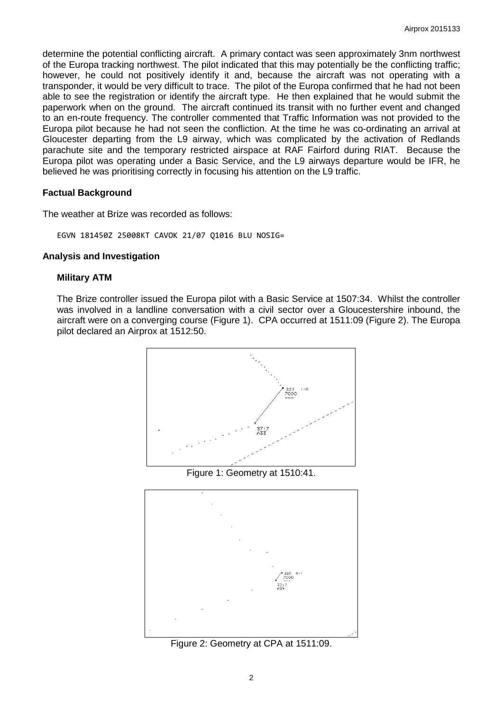determine the potential conflicting aircraft. A primary contact was seen approximately 3nm northwest of the Europa tracking northwest. The pilot indicated that this may potentially be the conflicting traffic; however, he could not positively identify it and, because the aircraft was not operating with a transponder, it would be very difficult to trace. The pilot of the Europa confirmed that he had not been able to see the registration or identify the aircraft type. He then explained that he would submit the paperwork when on the ground. The aircraft continued its transit with no further event and changed to an en-route frequency. The controller commented that Traffic Information was not provided to the Europa pilot because he had not seen the confliction. At the time he was co-ordinating an arrival at Gloucester departing from the L9 airway, which was complicated by the activation of Redlands parachute site and the temporary restricted airspace at RAF Fairford during RIAT. Because the Europa pilot was operating under a Basic Service, and the L9 airways departure would be IFR, he believed he was prioritising correctly in focusing his attention on the L9 traffic.

#### **Factual Background**

The weather at Brize was recorded as follows:

EGVN 181450Z 25008KT CAVOK 21/07 Q1016 BLU NOSIG=

#### **Analysis and Investigation**

#### **Military ATM**

The Brize controller issued the Europa pilot with a Basic Service at 1507:34. Whilst the controller was involved in a landline conversation with a civil sector over a Gloucestershire inbound, the aircraft were on a converging course (Figure 1). CPA occurred at 1511:09 (Figure 2). The Europa pilot declared an Airprox at 1512:50.



Figure 1: Geometry at 1510:41.



Figure 2: Geometry at CPA at 1511:09.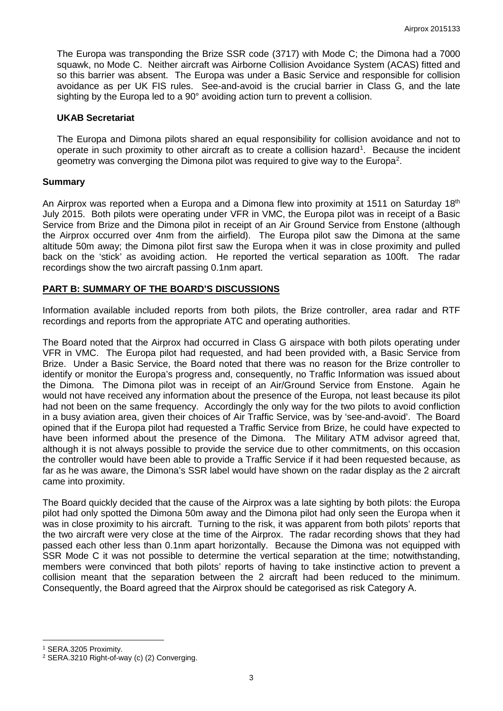The Europa was transponding the Brize SSR code (3717) with Mode C; the Dimona had a 7000 squawk, no Mode C. Neither aircraft was Airborne Collision Avoidance System (ACAS) fitted and so this barrier was absent. The Europa was under a Basic Service and responsible for collision avoidance as per UK FIS rules. See-and-avoid is the crucial barrier in Class G, and the late sighting by the Europa led to a 90° avoiding action turn to prevent a collision.

#### **UKAB Secretariat**

The Europa and Dimona pilots shared an equal responsibility for collision avoidance and not to operate in such proximity to other aircraft as to create a collision hazard<sup>[1](#page-2-0)</sup>. Because the incident geometry was converging the Dimona pilot was required to give way to the Europa<sup>[2](#page-2-1)</sup>.

#### **Summary**

An Airprox was reported when a Europa and a Dimona flew into proximity at 1511 on Saturday 18<sup>th</sup> July 2015. Both pilots were operating under VFR in VMC, the Europa pilot was in receipt of a Basic Service from Brize and the Dimona pilot in receipt of an Air Ground Service from Enstone (although the Airprox occurred over 4nm from the airfield). The Europa pilot saw the Dimona at the same altitude 50m away; the Dimona pilot first saw the Europa when it was in close proximity and pulled back on the 'stick' as avoiding action. He reported the vertical separation as 100ft. The radar recordings show the two aircraft passing 0.1nm apart.

### **PART B: SUMMARY OF THE BOARD'S DISCUSSIONS**

Information available included reports from both pilots, the Brize controller, area radar and RTF recordings and reports from the appropriate ATC and operating authorities.

The Board noted that the Airprox had occurred in Class G airspace with both pilots operating under VFR in VMC. The Europa pilot had requested, and had been provided with, a Basic Service from Brize. Under a Basic Service, the Board noted that there was no reason for the Brize controller to identify or monitor the Europa's progress and, consequently, no Traffic Information was issued about the Dimona. The Dimona pilot was in receipt of an Air/Ground Service from Enstone. Again he would not have received any information about the presence of the Europa, not least because its pilot had not been on the same frequency. Accordingly the only way for the two pilots to avoid confliction in a busy aviation area, given their choices of Air Traffic Service, was by 'see-and-avoid'. The Board opined that if the Europa pilot had requested a Traffic Service from Brize, he could have expected to have been informed about the presence of the Dimona. The Military ATM advisor agreed that, although it is not always possible to provide the service due to other commitments, on this occasion the controller would have been able to provide a Traffic Service if it had been requested because, as far as he was aware, the Dimona's SSR label would have shown on the radar display as the 2 aircraft came into proximity.

The Board quickly decided that the cause of the Airprox was a late sighting by both pilots: the Europa pilot had only spotted the Dimona 50m away and the Dimona pilot had only seen the Europa when it was in close proximity to his aircraft. Turning to the risk, it was apparent from both pilots' reports that the two aircraft were very close at the time of the Airprox. The radar recording shows that they had passed each other less than 0.1nm apart horizontally. Because the Dimona was not equipped with SSR Mode C it was not possible to determine the vertical separation at the time; notwithstanding, members were convinced that both pilots' reports of having to take instinctive action to prevent a collision meant that the separation between the 2 aircraft had been reduced to the minimum. Consequently, the Board agreed that the Airprox should be categorised as risk Category A.

l

<span id="page-2-0"></span><sup>1</sup> SERA.3205 Proximity.

<span id="page-2-1"></span><sup>2</sup> SERA.3210 Right-of-way (c) (2) Converging.